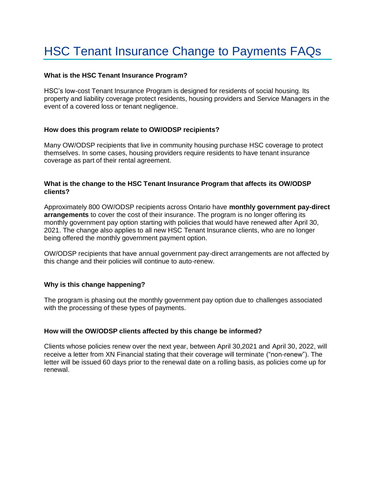# HSC Tenant Insurance Change to Payments FAQs

## **What is the HSC Tenant Insurance Program?**

HSC's low-cost Tenant Insurance Program is designed for residents of social housing. Its property and liability coverage protect residents, housing providers and Service Managers in the event of a covered loss or tenant negligence.

## **How does this program relate to OW/ODSP recipients?**

Many OW/ODSP recipients that live in community housing purchase HSC coverage to protect themselves. In some cases, housing providers require residents to have tenant insurance coverage as part of their rental agreement.

#### **What is the change to the HSC Tenant Insurance Program that affects its OW/ODSP clients?**

Approximately 800 OW/ODSP recipients across Ontario have **monthly government pay-direct arrangements** to cover the cost of their insurance. The program is no longer offering its monthly government pay option starting with policies that would have renewed after April 30, 2021. The change also applies to all new HSC Tenant Insurance clients, who are no longer being offered the monthly government payment option.

OW/ODSP recipients that have annual government pay-direct arrangements are not affected by this change and their policies will continue to auto-renew.

## **Why is this change happening?**

The program is phasing out the monthly government pay option due to challenges associated with the processing of these types of payments.

## **How will the OW/ODSP clients affected by this change be informed?**

Clients whose policies renew over the next year, between April 30,2021 and April 30, 2022, will receive a letter from XN Financial stating that their coverage will terminate ("non-renew"). The letter will be issued 60 days prior to the renewal date on a rolling basis, as policies come up for renewal.